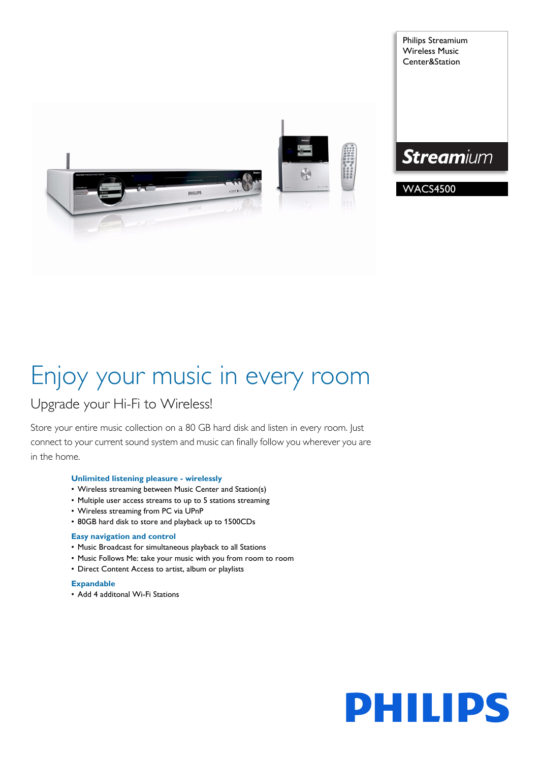

Philips Streamium Wireless Music Center&Station

# **Streamium**

# WACS4500

# Enjoy your music in every room

# Upgrade your Hi-Fi to Wireless!

Store your entire music collection on a 80 GB hard disk and listen in every room. Just connect to your current sound system and music can finally follow you wherever you are in the home.

# **Unlimited listening pleasure - wirelessly**

- Wireless streaming between Music Center and Station(s)
- Multiple user access streams to up to 5 stations streaming
- Wireless streaming from PC via UPnP
- 80GB hard disk to store and playback up to 1500CDs

# **Easy navigation and control**

- Music Broadcast for simultaneous playback to all Stations
- Music Follows Me: take your music with you from room to room
- Direct Content Access to artist, album or playlists

# **Expandable**

• Add 4 additonal Wi-Fi Stations